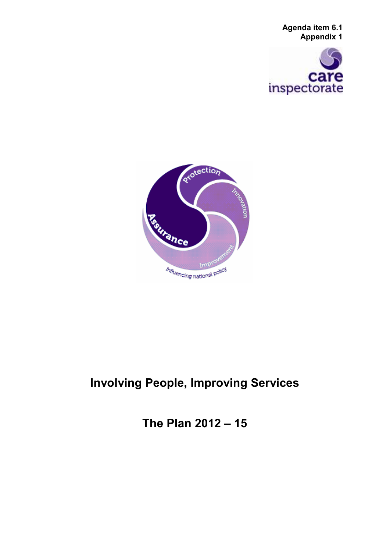**Agenda item 6.1 Appendix 1** 





# **Involving People, Improving Services**

**The Plan 2012 – 15**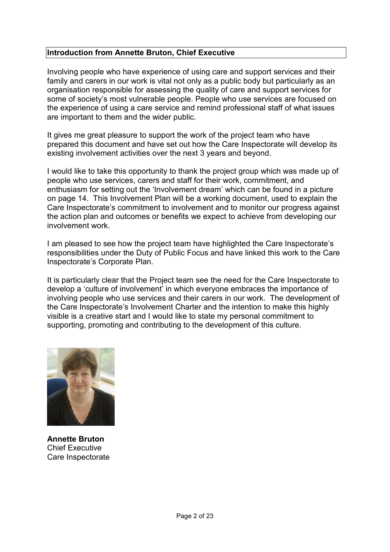### **Introduction from Annette Bruton, Chief Executive**

Involving people who have experience of using care and support services and their family and carers in our work is vital not only as a public body but particularly as an organisation responsible for assessing the quality of care and support services for some of society's most vulnerable people. People who use services are focused on the experience of using a care service and remind professional staff of what issues are important to them and the wider public.

It gives me great pleasure to support the work of the project team who have prepared this document and have set out how the Care Inspectorate will develop its existing involvement activities over the next 3 years and beyond.

I would like to take this opportunity to thank the project group which was made up of people who use services, carers and staff for their work, commitment, and enthusiasm for setting out the 'Involvement dream' which can be found in a picture on page 14. This Involvement Plan will be a working document, used to explain the Care Inspectorate's commitment to involvement and to monitor our progress against the action plan and outcomes or benefits we expect to achieve from developing our involvement work.

I am pleased to see how the project team have highlighted the Care Inspectorate's responsibilities under the Duty of Public Focus and have linked this work to the Care Inspectorate's Corporate Plan.

It is particularly clear that the Project team see the need for the Care Inspectorate to develop a 'culture of involvement' in which everyone embraces the importance of involving people who use services and their carers in our work. The development of the Care Inspectorate's Involvement Charter and the intention to make this highly visible is a creative start and I would like to state my personal commitment to supporting, promoting and contributing to the development of this culture.



**Annette Bruton**  Chief Executive Care Inspectorate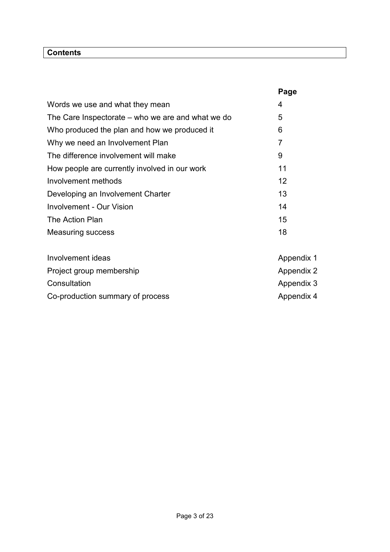### **Contents**

|                                                   | Page |
|---------------------------------------------------|------|
| Words we use and what they mean                   | 4    |
| The Care Inspectorate – who we are and what we do | 5    |
| Who produced the plan and how we produced it      | 6    |
| Why we need an Involvement Plan                   | 7    |
| The difference involvement will make              | 9    |
| How people are currently involved in our work     | 11   |
| Involvement methods                               | 12   |
| Developing an Involvement Charter                 | 13   |
| Involvement - Our Vision                          | 14   |
| The Action Plan                                   | 15   |
| <b>Measuring success</b>                          | 18   |
|                                                   |      |
|                                                   |      |

| Involvement ideas                | Appendix 1 |
|----------------------------------|------------|
| Project group membership         | Appendix 2 |
| Consultation                     | Appendix 3 |
| Co-production summary of process | Appendix 4 |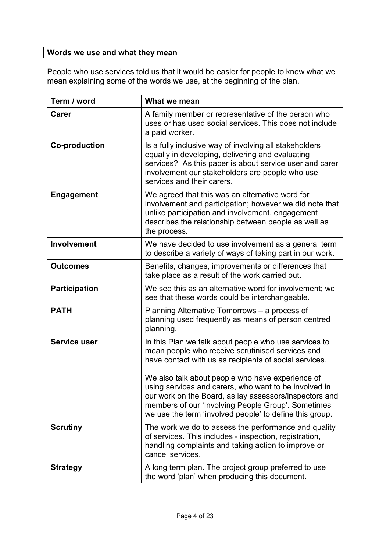### **Words we use and what they mean**

People who use services told us that it would be easier for people to know what we mean explaining some of the words we use, at the beginning of the plan.

| Term / word          | What we mean                                                                                                                                                                                                                                                                                                                                                                                                                                                |
|----------------------|-------------------------------------------------------------------------------------------------------------------------------------------------------------------------------------------------------------------------------------------------------------------------------------------------------------------------------------------------------------------------------------------------------------------------------------------------------------|
| <b>Carer</b>         | A family member or representative of the person who<br>uses or has used social services. This does not include<br>a paid worker.                                                                                                                                                                                                                                                                                                                            |
| <b>Co-production</b> | Is a fully inclusive way of involving all stakeholders<br>equally in developing, delivering and evaluating<br>services? As this paper is about service user and carer<br>involvement our stakeholders are people who use<br>services and their carers.                                                                                                                                                                                                      |
| <b>Engagement</b>    | We agreed that this was an alternative word for<br>involvement and participation; however we did note that<br>unlike participation and involvement, engagement<br>describes the relationship between people as well as<br>the process.                                                                                                                                                                                                                      |
| <b>Involvement</b>   | We have decided to use involvement as a general term<br>to describe a variety of ways of taking part in our work.                                                                                                                                                                                                                                                                                                                                           |
| <b>Outcomes</b>      | Benefits, changes, improvements or differences that<br>take place as a result of the work carried out.                                                                                                                                                                                                                                                                                                                                                      |
| <b>Participation</b> | We see this as an alternative word for involvement; we<br>see that these words could be interchangeable.                                                                                                                                                                                                                                                                                                                                                    |
| <b>PATH</b>          | Planning Alternative Tomorrows – a process of<br>planning used frequently as means of person centred<br>planning.                                                                                                                                                                                                                                                                                                                                           |
| <b>Service user</b>  | In this Plan we talk about people who use services to<br>mean people who receive scrutinised services and<br>have contact with us as recipients of social services.<br>We also talk about people who have experience of<br>using services and carers, who want to be involved in<br>our work on the Board, as lay assessors/inspectors and<br>members of our 'Involving People Group'. Sometimes<br>we use the term 'involved people' to define this group. |
| <b>Scrutiny</b>      | The work we do to assess the performance and quality<br>of services. This includes - inspection, registration,<br>handling complaints and taking action to improve or<br>cancel services.                                                                                                                                                                                                                                                                   |
| <b>Strategy</b>      | A long term plan. The project group preferred to use<br>the word 'plan' when producing this document.                                                                                                                                                                                                                                                                                                                                                       |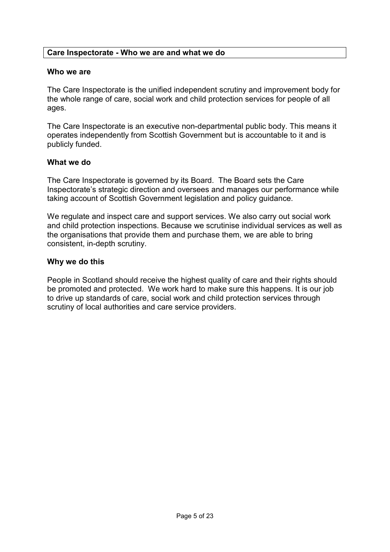### **Care Inspectorate - Who we are and what we do**

### **Who we are**

The Care Inspectorate is the unified independent scrutiny and improvement body for the whole range of care, social work and child protection services for people of all ages.

The Care Inspectorate is an executive non-departmental public body. This means it operates independently from Scottish Government but is accountable to it and is publicly funded.

### **What we do**

The Care Inspectorate is governed by its Board. The Board sets the Care Inspectorate's strategic direction and oversees and manages our performance while taking account of Scottish Government legislation and policy guidance.

We regulate and inspect care and support services. We also carry out social work and child protection inspections. Because we scrutinise individual services as well as the organisations that provide them and purchase them, we are able to bring consistent, in-depth scrutiny.

### **Why we do this**

People in Scotland should receive the highest quality of care and their rights should be promoted and protected. We work hard to make sure this happens. It is our job to drive up standards of care, social work and child protection services through scrutiny of local authorities and care service providers.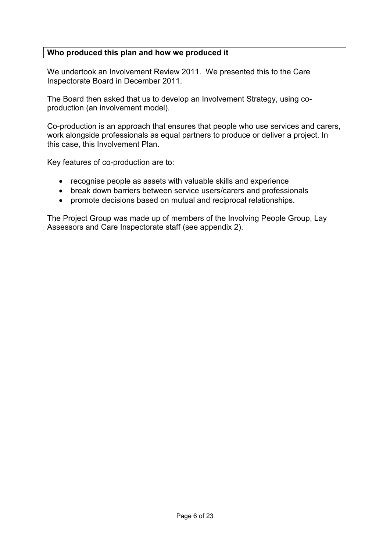### **Who produced this plan and how we produced it**

We undertook an Involvement Review 2011. We presented this to the Care Inspectorate Board in December 2011.

The Board then asked that us to develop an Involvement Strategy, using coproduction (an involvement model).

Co-production is an approach that ensures that people who use services and carers, work alongside professionals as equal partners to produce or deliver a project. In this case, this Involvement Plan.

Key features of co-production are to:

- recognise people as assets with valuable skills and experience
- break down barriers between service users/carers and professionals
- promote decisions based on mutual and reciprocal relationships.

The Project Group was made up of members of the Involving People Group, Lay Assessors and Care Inspectorate staff (see appendix 2).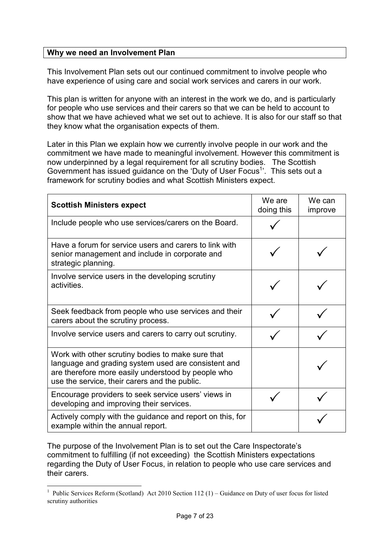### **Why we need an Involvement Plan**

This Involvement Plan sets out our continued commitment to involve people who have experience of using care and social work services and carers in our work.

This plan is written for anyone with an interest in the work we do, and is particularly for people who use services and their carers so that we can be held to account to show that we have achieved what we set out to achieve. It is also for our staff so that they know what the organisation expects of them.

Later in this Plan we explain how we currently involve people in our work and the commitment we have made to meaningful involvement. However this commitment is now underpinned by a legal requirement for all scrutiny bodies. The Scottish Government has issued guidance on the 'Duty of User Focus<sup>1</sup>'. This sets out a framework for scrutiny bodies and what Scottish Ministers expect.

| <b>Scottish Ministers expect</b>                                                                                                                                                                                | We are<br>doing this | We can<br>improve |
|-----------------------------------------------------------------------------------------------------------------------------------------------------------------------------------------------------------------|----------------------|-------------------|
| Include people who use services/carers on the Board.                                                                                                                                                            |                      |                   |
| Have a forum for service users and carers to link with<br>senior management and include in corporate and<br>strategic planning.                                                                                 |                      |                   |
| Involve service users in the developing scrutiny<br>activities.                                                                                                                                                 |                      |                   |
| Seek feedback from people who use services and their<br>carers about the scrutiny process.                                                                                                                      |                      |                   |
| Involve service users and carers to carry out scrutiny.                                                                                                                                                         |                      |                   |
| Work with other scrutiny bodies to make sure that<br>language and grading system used are consistent and<br>are therefore more easily understood by people who<br>use the service, their carers and the public. |                      |                   |
| Encourage providers to seek service users' views in<br>developing and improving their services.                                                                                                                 |                      |                   |
| Actively comply with the guidance and report on this, for<br>example within the annual report.                                                                                                                  |                      |                   |

The purpose of the Involvement Plan is to set out the Care Inspectorate's commitment to fulfilling (if not exceeding) the Scottish Ministers expectations regarding the Duty of User Focus, in relation to people who use care services and their carers.

-

<sup>&</sup>lt;sup>1</sup> Public Services Reform (Scotland) Act 2010 Section 112 (1) – Guidance on Duty of user focus for listed scrutiny authorities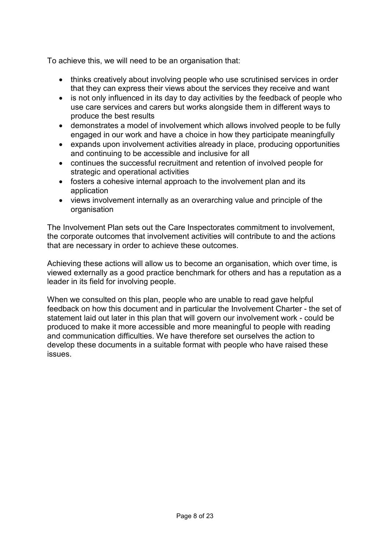To achieve this, we will need to be an organisation that:

- thinks creatively about involving people who use scrutinised services in order that they can express their views about the services they receive and want
- is not only influenced in its day to day activities by the feedback of people who use care services and carers but works alongside them in different ways to produce the best results
- demonstrates a model of involvement which allows involved people to be fully engaged in our work and have a choice in how they participate meaningfully
- expands upon involvement activities already in place, producing opportunities and continuing to be accessible and inclusive for all
- continues the successful recruitment and retention of involved people for strategic and operational activities
- fosters a cohesive internal approach to the involvement plan and its application
- views involvement internally as an overarching value and principle of the organisation

The Involvement Plan sets out the Care Inspectorates commitment to involvement, the corporate outcomes that involvement activities will contribute to and the actions that are necessary in order to achieve these outcomes.

Achieving these actions will allow us to become an organisation, which over time, is viewed externally as a good practice benchmark for others and has a reputation as a leader in its field for involving people.

When we consulted on this plan, people who are unable to read gave helpful feedback on how this document and in particular the Involvement Charter - the set of statement laid out later in this plan that will govern our involvement work - could be produced to make it more accessible and more meaningful to people with reading and communication difficulties. We have therefore set ourselves the action to develop these documents in a suitable format with people who have raised these issues.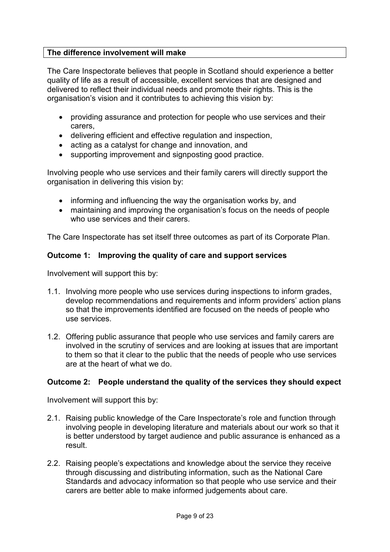### **The difference involvement will make**

The Care Inspectorate believes that people in Scotland should experience a better quality of life as a result of accessible, excellent services that are designed and delivered to reflect their individual needs and promote their rights. This is the organisation's vision and it contributes to achieving this vision by:

- providing assurance and protection for people who use services and their carers,
- delivering efficient and effective regulation and inspection,
- acting as a catalyst for change and innovation, and
- supporting improvement and signposting good practice.

Involving people who use services and their family carers will directly support the organisation in delivering this vision by:

- informing and influencing the way the organisation works by, and
- maintaining and improving the organisation's focus on the needs of people who use services and their carers.

The Care Inspectorate has set itself three outcomes as part of its Corporate Plan.

### **Outcome 1: Improving the quality of care and support services**

Involvement will support this by:

- 1.1. Involving more people who use services during inspections to inform grades, develop recommendations and requirements and inform providers' action plans so that the improvements identified are focused on the needs of people who use services.
- 1.2. Offering public assurance that people who use services and family carers are involved in the scrutiny of services and are looking at issues that are important to them so that it clear to the public that the needs of people who use services are at the heart of what we do.

### **Outcome 2: People understand the quality of the services they should expect**

Involvement will support this by:

- 2.1. Raising public knowledge of the Care Inspectorate's role and function through involving people in developing literature and materials about our work so that it is better understood by target audience and public assurance is enhanced as a result.
- 2.2. Raising people's expectations and knowledge about the service they receive through discussing and distributing information, such as the National Care Standards and advocacy information so that people who use service and their carers are better able to make informed judgements about care.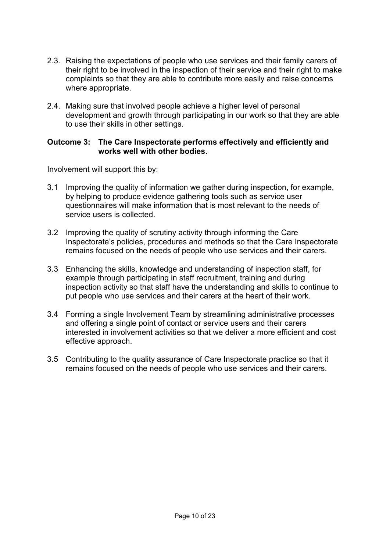- 2.3. Raising the expectations of people who use services and their family carers of their right to be involved in the inspection of their service and their right to make complaints so that they are able to contribute more easily and raise concerns where appropriate.
- 2.4. Making sure that involved people achieve a higher level of personal development and growth through participating in our work so that they are able to use their skills in other settings.

### **Outcome 3: The Care Inspectorate performs effectively and efficiently and works well with other bodies.**

Involvement will support this by:

- 3.1 Improving the quality of information we gather during inspection, for example, by helping to produce evidence gathering tools such as service user questionnaires will make information that is most relevant to the needs of service users is collected.
- 3.2 Improving the quality of scrutiny activity through informing the Care Inspectorate's policies, procedures and methods so that the Care Inspectorate remains focused on the needs of people who use services and their carers.
- 3.3 Enhancing the skills, knowledge and understanding of inspection staff, for example through participating in staff recruitment, training and during inspection activity so that staff have the understanding and skills to continue to put people who use services and their carers at the heart of their work.
- 3.4 Forming a single Involvement Team by streamlining administrative processes and offering a single point of contact or service users and their carers interested in involvement activities so that we deliver a more efficient and cost effective approach.
- 3.5 Contributing to the quality assurance of Care Inspectorate practice so that it remains focused on the needs of people who use services and their carers.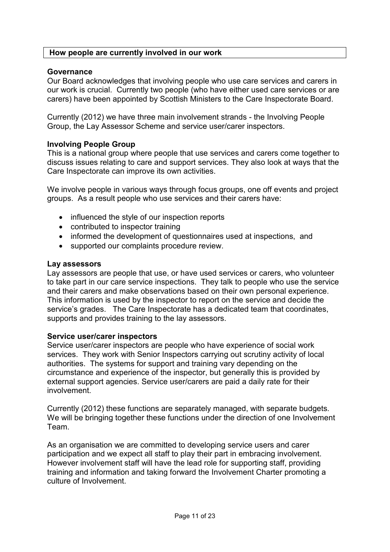### **How people are currently involved in our work**

### **Governance**

Our Board acknowledges that involving people who use care services and carers in our work is crucial. Currently two people (who have either used care services or are carers) have been appointed by Scottish Ministers to the Care Inspectorate Board.

Currently (2012) we have three main involvement strands - the Involving People Group, the Lay Assessor Scheme and service user/carer inspectors.

### **Involving People Group**

This is a national group where people that use services and carers come together to discuss issues relating to care and support services. They also look at ways that the Care Inspectorate can improve its own activities.

We involve people in various ways through focus groups, one off events and project groups. As a result people who use services and their carers have:

- influenced the style of our inspection reports
- contributed to inspector training
- informed the development of questionnaires used at inspections, and
- supported our complaints procedure review.

### **Lay assessors**

Lay assessors are people that use, or have used services or carers, who volunteer to take part in our care service inspections. They talk to people who use the service and their carers and make observations based on their own personal experience. This information is used by the inspector to report on the service and decide the service's grades. The Care Inspectorate has a dedicated team that coordinates, supports and provides training to the lay assessors.

### **Service user/carer inspectors**

Service user/carer inspectors are people who have experience of social work services. They work with Senior Inspectors carrying out scrutiny activity of local authorities. The systems for support and training vary depending on the circumstance and experience of the inspector, but generally this is provided by external support agencies. Service user/carers are paid a daily rate for their involvement.

Currently (2012) these functions are separately managed, with separate budgets. We will be bringing together these functions under the direction of one Involvement Team.

As an organisation we are committed to developing service users and carer participation and we expect all staff to play their part in embracing involvement. However involvement staff will have the lead role for supporting staff, providing training and information and taking forward the Involvement Charter promoting a culture of Involvement.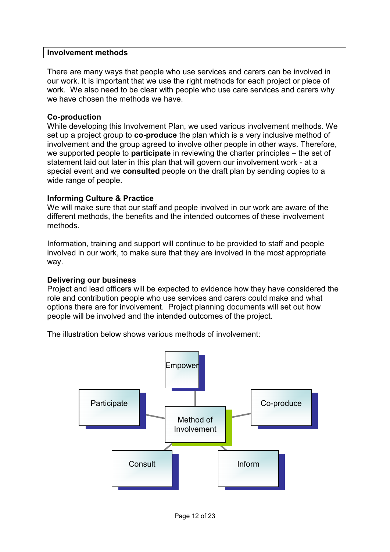### **Involvement methods**

There are many ways that people who use services and carers can be involved in our work. It is important that we use the right methods for each project or piece of work. We also need to be clear with people who use care services and carers why we have chosen the methods we have.

### **Co-production**

While developing this Involvement Plan, we used various involvement methods. We set up a project group to **co-produce** the plan which is a very inclusive method of involvement and the group agreed to involve other people in other ways. Therefore, we supported people to **participate** in reviewing the charter principles – the set of statement laid out later in this plan that will govern our involvement work - at a special event and we **consulted** people on the draft plan by sending copies to a wide range of people.

### **Informing Culture & Practice**

We will make sure that our staff and people involved in our work are aware of the different methods, the benefits and the intended outcomes of these involvement methods.

Information, training and support will continue to be provided to staff and people involved in our work, to make sure that they are involved in the most appropriate way.

### **Delivering our business**

Project and lead officers will be expected to evidence how they have considered the role and contribution people who use services and carers could make and what options there are for involvement. Project planning documents will set out how people will be involved and the intended outcomes of the project.

The illustration below shows various methods of involvement:

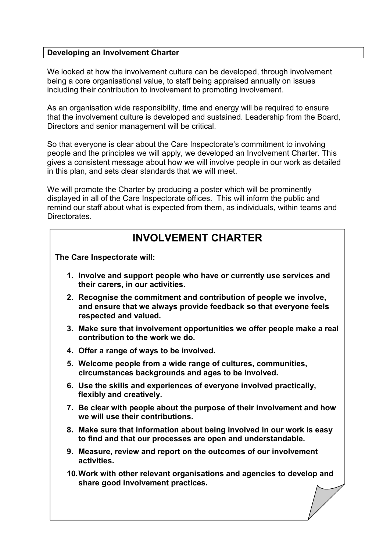### **Developing an Involvement Charter**

We looked at how the involvement culture can be developed, through involvement being a core organisational value, to staff being appraised annually on issues including their contribution to involvement to promoting involvement.

As an organisation wide responsibility, time and energy will be required to ensure that the involvement culture is developed and sustained. Leadership from the Board, Directors and senior management will be critical.

So that everyone is clear about the Care Inspectorate's commitment to involving people and the principles we will apply, we developed an Involvement Charter. This gives a consistent message about how we will involve people in our work as detailed in this plan, and sets clear standards that we will meet.

We will promote the Charter by producing a poster which will be prominently displayed in all of the Care Inspectorate offices. This will inform the public and remind our staff about what is expected from them, as individuals, within teams and Directorates.

# **INVOLVEMENT CHARTER**

**The Care Inspectorate will:** 

- **1. Involve and support people who have or currently use services and their carers, in our activities.**
- **2. Recognise the commitment and contribution of people we involve, and ensure that we always provide feedback so that everyone feels respected and valued.**
- **3. Make sure that involvement opportunities we offer people make a real contribution to the work we do.**
- **4. Offer a range of ways to be involved.**
- **5. Welcome people from a wide range of cultures, communities, circumstances backgrounds and ages to be involved.**
- **6. Use the skills and experiences of everyone involved practically, flexibly and creatively.**
- **7. Be clear with people about the purpose of their involvement and how we will use their contributions.**
- **8. Make sure that information about being involved in our work is easy to find and that our processes are open and understandable.**
- **9. Measure, review and report on the outcomes of our involvement activities.**
- **10. Work with other relevant organisations and agencies to develop and share good involvement practices.**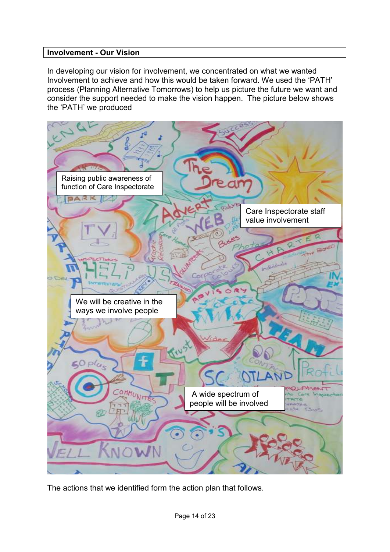### **Involvement - Our Vision**

In developing our vision for involvement, we concentrated on what we wanted Involvement to achieve and how this would be taken forward. We used the 'PATH' process (Planning Alternative Tomorrows) to help us picture the future we want and consider the support needed to make the vision happen. The picture below shows the 'PATH' we produced



The actions that we identified form the action plan that follows.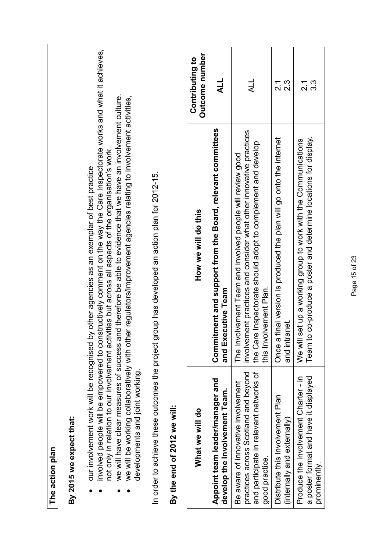| The action plan                                                                                                                         |                                                                                                                                                                                                                                                                                                                                                                                                                                                                                                                              |                                      |
|-----------------------------------------------------------------------------------------------------------------------------------------|------------------------------------------------------------------------------------------------------------------------------------------------------------------------------------------------------------------------------------------------------------------------------------------------------------------------------------------------------------------------------------------------------------------------------------------------------------------------------------------------------------------------------|--------------------------------------|
| our involvement work will be recognised<br>developments and joint working.<br>By 2015 we expect that:                                   | involved people will be empowered to constructively comment on the way the Care Inspectorate works and what it achieves,<br>we will have clear measures of success and therefore be able to evidence that we have an involvement culture.<br>we will be working collaboratively with other regulators/improvement agencies relating to involvement activities,<br>not only in relation to our involvement activities but across all aspects of the organisation's work.<br>by other agencies as an exemplar of best practice |                                      |
|                                                                                                                                         | In order to achieve these outcomes the project group has developed an action plan for 2012-15.                                                                                                                                                                                                                                                                                                                                                                                                                               |                                      |
| By the end of 2012 we will:                                                                                                             |                                                                                                                                                                                                                                                                                                                                                                                                                                                                                                                              |                                      |
| What we will do                                                                                                                         | How we will do this                                                                                                                                                                                                                                                                                                                                                                                                                                                                                                          | Outcome number<br>Contributing to    |
| Appoint team leader/manager and<br>develop the Involvement Team.                                                                        | Commitment and support from the Board, relevant committees<br>and Executive Team                                                                                                                                                                                                                                                                                                                                                                                                                                             | <b>ALL</b>                           |
| practices across Scotland and beyond<br>and participate in relevant networks of<br>Be aware of innovative involvement<br>good practice. | involvement practices and consider what other innovative practices<br>the Care Inspectorate should adopt to complement and develop<br>The Involvement Team and involved people will review good<br>olvement Plan.<br>this Inv                                                                                                                                                                                                                                                                                                | $\overline{41}$                      |
| Distribute this Involvement Plan<br>(internally and externally)                                                                         | Once a final version is produced the plan will go onto the internet<br>anet.<br>and int                                                                                                                                                                                                                                                                                                                                                                                                                                      | $2.\overline{3}$<br>$\overline{2.1}$ |
| a poster format and have it displayed<br>Produce the Involvement Charter - in<br>prominently.                                           | Team to co-produce a poster and determine locations for display.<br>set up a working group to work with the Communications<br>We wil                                                                                                                                                                                                                                                                                                                                                                                         | $3.\overline{3}$<br>2.1              |

Page 15 of 23 Page 15 of 23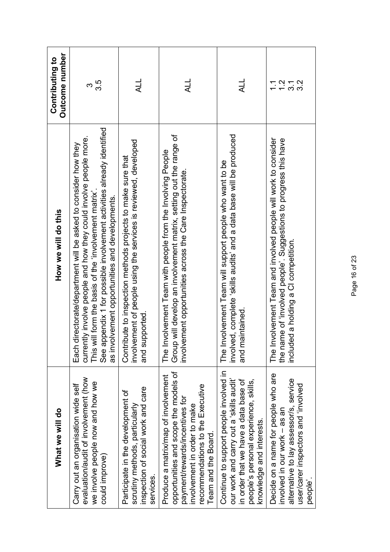| What we will do                                                                                                                                                                                          | How we will do this                                                                                                                                                                                                                                                                                                    | Outcome number<br>Contributing to |
|----------------------------------------------------------------------------------------------------------------------------------------------------------------------------------------------------------|------------------------------------------------------------------------------------------------------------------------------------------------------------------------------------------------------------------------------------------------------------------------------------------------------------------------|-----------------------------------|
| evaluation/audit of involvement (how<br>we involve people now and how we<br>Carry out an organisation wide self<br>could improve)                                                                        | See appendix 1 for possible involvement activities already identified<br>currently involve people and how they could involve people more.<br>Each directorate/department will be asked to consider how they<br>This will form the basis of the 'involvement matrix'.<br>as involvement opportunities and developments. | 3.5<br>က                          |
| inspection of social work and care<br>Participate in the development of<br>scrutiny methods, particularly<br>services.                                                                                   | involvement of people using the services is reviewed, developed<br>Contribute to inspection methods projects to make sure that<br>and supported                                                                                                                                                                        | <b>ALL</b>                        |
| opportunities and scope the models of<br>Produce a matrix/map of involvement<br>recommendations to the Executive<br>payment/rewards/incentives for<br>nvolvement in order to make<br>Team and the Board. | Group will develop an involvement matrix, setting out the range of<br>The Involvement Team with people from the Involving People<br>involvement opportunities across the Care Inspectorate.                                                                                                                            | $\overline{4}$                    |
| Continue to support people involved in<br>our work and carry out a 'skills audit'<br>in order that we have a data base of<br>people's personal experience, skills,<br>knowledge and interests.           | involved, complete 'skills audits' and a data base will be produced<br>The Involvement Team will support people who want to be<br>and maintained.                                                                                                                                                                      | <b>HT</b>                         |
| Decide on a name for people who are<br>alternative to lay assessor/s, service<br>user/carer inspectors and 'involved<br>involved in our work - as an<br>people'                                          | The Involvement Team and involved people will work to consider<br>the name of 'involved people'. Suggestions to progress this have<br>included a holding a CI competition.                                                                                                                                             | $7.72$<br>$7.72$<br>$\Xi$         |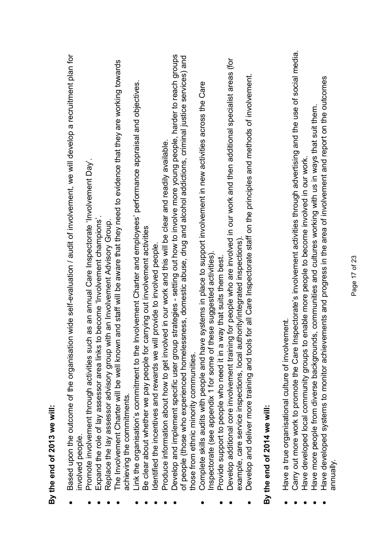| By the end of 2013 we will:                                                                                                    |
|--------------------------------------------------------------------------------------------------------------------------------|
| Based upon the outcome of the organisation wide self-evaluation / audit of involvement, we will develop a recruitment plan for |
| involved people.                                                                                                               |
| Promote involvement through activities such as an annual Care Inspectorate 'Involvement Day'                                   |
| to become 'Involvement champions'.<br>Expand the role of lay assessor area links                                               |
| Replace the lay assessor advisory group with an Involvement Advisory Group.                                                    |
| The Involvement Charter will be well known and staff will be aware that they need to evidence that they are working towards    |
| achieving the commitments.                                                                                                     |
| Involvement Charter and employees' performance appraisal and objectives.<br>Link the organisation's commitment to the          |
| carrying out involvement activities<br>Be clear about whether we pay people for                                                |
| Identified the incentives and rewards we will provide to involved people.                                                      |
| Produce information about how to get involved in our work and this will be clear and readily available.                        |
| Develop and implement specific user group strategies - setting out how to involve more young people, harder to reach groups    |
| of people (those who experienced homelessness, domestic abuse, drug and alcohol addictions, criminal justice services) and     |
| those from ethnic minority communities.                                                                                        |
| e systems in place to support involvement in new activities across the Care<br>Complete skills audits with people and hav      |
| Inspectorate (see appendix 1 for some of these suggested activities).                                                          |
| way that suits them best.<br>Provide support to people who need it in a                                                        |
| Develop additional core involvement training for people who are involved in our work and then additional specialist areas (for |
| example, care service inspections, local authority/integrated inspections)                                                     |
| is for all Care Inspectorate staff on the principles and methods of involvement.<br>Develop and deliver more training and tool |
| By the end of 2014 we will:                                                                                                    |
|                                                                                                                                |
| ement.<br>Have a true organisational culture of involv                                                                         |
| Carry out more work to promote the Care Inspectorate's involvement activities through advertising and the use of social media. |
| Have developed local community groups to enable more people to become involved in our work                                     |
| ds, communities and cultures working with us in ways that suit them<br>Have more people from diverse backgroun                 |
| Have developed systems to monitor achievements and progress in the area of involvement and report on the outcomes<br>annually  |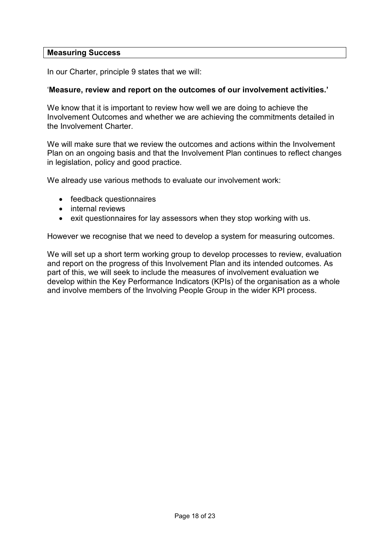### **Measuring Success**

In our Charter, principle 9 states that we will:

### '**Measure, review and report on the outcomes of our involvement activities.'**

We know that it is important to review how well we are doing to achieve the Involvement Outcomes and whether we are achieving the commitments detailed in the Involvement Charter.

We will make sure that we review the outcomes and actions within the Involvement Plan on an ongoing basis and that the Involvement Plan continues to reflect changes in legislation, policy and good practice.

We already use various methods to evaluate our involvement work:

- feedback questionnaires
- internal reviews
- exit questionnaires for lay assessors when they stop working with us.

However we recognise that we need to develop a system for measuring outcomes.

We will set up a short term working group to develop processes to review, evaluation and report on the progress of this Involvement Plan and its intended outcomes. As part of this, we will seek to include the measures of involvement evaluation we develop within the Key Performance Indicators (KPIs) of the organisation as a whole and involve members of the Involving People Group in the wider KPI process.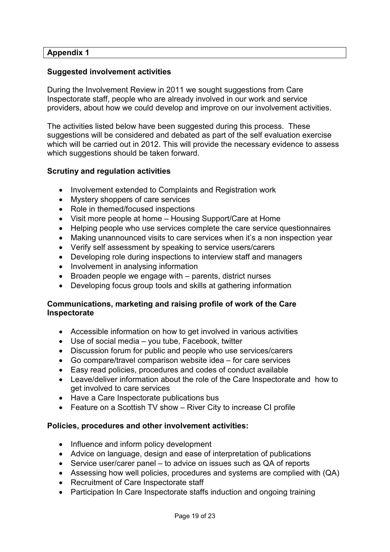### **Suggested involvement activities**

During the Involvement Review in 2011 we sought suggestions from Care Inspectorate staff, people who are already involved in our work and service providers, about how we could develop and improve on our involvement activities.

The activities listed below have been suggested during this process. These suggestions will be considered and debated as part of the self evaluation exercise which will be carried out in 2012. This will provide the necessary evidence to assess which suggestions should be taken forward.

### **Scrutiny and regulation activities**

- Involvement extended to Complaints and Registration work
- Mystery shoppers of care services
- Role in themed/focused inspections
- Visit more people at home Housing Support/Care at Home
- Helping people who use services complete the care service questionnaires
- Making unannounced visits to care services when it's a non inspection year
- Verify self assessment by speaking to service users/carers
- Developing role during inspections to interview staff and managers
- Involvement in analysing information
- Broaden people we engage with parents, district nurses
- Developing focus group tools and skills at gathering information

### **Communications, marketing and raising profile of work of the Care Inspectorate**

- Accessible information on how to get involved in various activities
- Use of social media you tube, Facebook, twitter
- Discussion forum for public and people who use services/carers
- Go compare/travel comparison website idea for care services
- Easy read policies, procedures and codes of conduct available
- Leave/deliver information about the role of the Care Inspectorate and how to get involved to care services
- Have a Care Inspectorate publications bus
- Feature on a Scottish TV show River City to increase CI profile

### **Policies, procedures and other involvement activities:**

- Influence and inform policy development
- Advice on language, design and ease of interpretation of publications
- Service user/carer panel to advice on issues such as QA of reports
- Assessing how well policies, procedures and systems are complied with (QA)
- Recruitment of Care Inspectorate staff
- Participation In Care Inspectorate staffs induction and ongoing training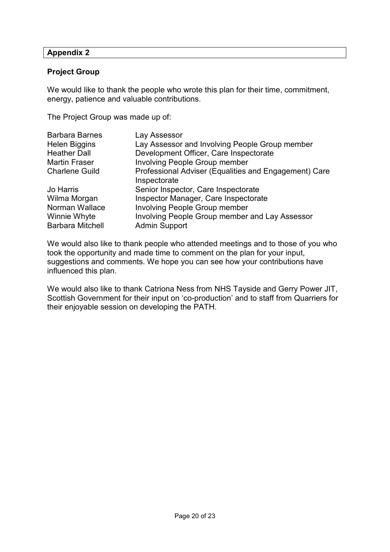### **Project Group**

We would like to thank the people who wrote this plan for their time, commitment, energy, patience and valuable contributions.

The Project Group was made up of:

| <b>Barbara Barnes</b>   | Lay Assessor                                                          |
|-------------------------|-----------------------------------------------------------------------|
| <b>Helen Biggins</b>    | Lay Assessor and Involving People Group member                        |
| <b>Heather Dall</b>     | Development Officer, Care Inspectorate                                |
| <b>Martin Fraser</b>    | <b>Involving People Group member</b>                                  |
| <b>Charlene Guild</b>   | Professional Adviser (Equalities and Engagement) Care<br>Inspectorate |
| Jo Harris               | Senior Inspector, Care Inspectorate                                   |
| Wilma Morgan            | Inspector Manager, Care Inspectorate                                  |
| Norman Wallace          | <b>Involving People Group member</b>                                  |
| Winnie Whyte            | Involving People Group member and Lay Assessor                        |
| <b>Barbara Mitchell</b> | <b>Admin Support</b>                                                  |

We would also like to thank people who attended meetings and to those of you who took the opportunity and made time to comment on the plan for your input, suggestions and comments. We hope you can see how your contributions have influenced this plan.

We would also like to thank Catriona Ness from NHS Tayside and Gerry Power JIT, Scottish Government for their input on 'co-production' and to staff from Quarriers for their enjoyable session on developing the PATH.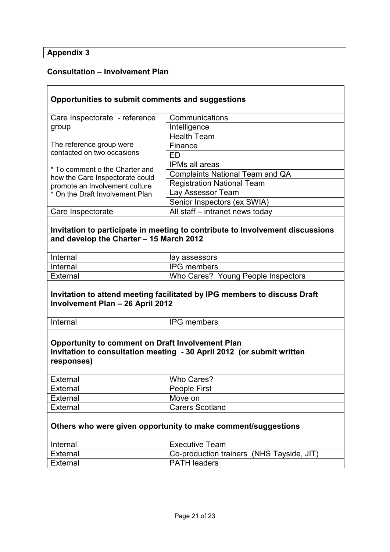# **Consultation – Involvement Plan**

| Opportunities to submit comments and suggestions                         |                                                                               |  |
|--------------------------------------------------------------------------|-------------------------------------------------------------------------------|--|
|                                                                          |                                                                               |  |
| Care Inspectorate - reference                                            | Communications                                                                |  |
| group                                                                    | Intelligence                                                                  |  |
|                                                                          | <b>Health Team</b>                                                            |  |
| The reference group were                                                 | Finance                                                                       |  |
| contacted on two occasions                                               | ED                                                                            |  |
| * To comment o the Charter and                                           | <b>IPMs all areas</b>                                                         |  |
| how the Care Inspectorate could                                          | <b>Complaints National Team and QA</b>                                        |  |
| promote an Involvement culture                                           | <b>Registration National Team</b>                                             |  |
| * On the Draft Involvement Plan                                          | Lay Assessor Team                                                             |  |
|                                                                          | Senior Inspectors (ex SWIA)                                                   |  |
| Care Inspectorate                                                        | All staff - intranet news today                                               |  |
|                                                                          |                                                                               |  |
|                                                                          | Invitation to participate in meeting to contribute to Involvement discussions |  |
| and develop the Charter - 15 March 2012                                  |                                                                               |  |
|                                                                          |                                                                               |  |
| Internal                                                                 | lay assessors                                                                 |  |
| Internal                                                                 | <b>IPG</b> members                                                            |  |
| <b>External</b>                                                          | Who Cares? Young People Inspectors                                            |  |
|                                                                          |                                                                               |  |
| Invitation to attend meeting facilitated by IPG members to discuss Draft |                                                                               |  |
| <b>Involvement Plan - 26 April 2012</b>                                  |                                                                               |  |
|                                                                          |                                                                               |  |
| Internal                                                                 | <b>IPG</b> members                                                            |  |
|                                                                          |                                                                               |  |
| <b>Opportunity to comment on Draft Involvement Plan</b>                  |                                                                               |  |
| Invitation to consultation meeting - 30 April 2012 (or submit written    |                                                                               |  |
| responses)                                                               |                                                                               |  |
|                                                                          |                                                                               |  |
| External                                                                 | Who Cares?                                                                    |  |
| External                                                                 | People First                                                                  |  |
| External                                                                 | Move on                                                                       |  |
| External                                                                 | <b>Carers Scotland</b>                                                        |  |
|                                                                          |                                                                               |  |
| Others who were given opportunity to make comment/suggestions            |                                                                               |  |
|                                                                          |                                                                               |  |
| Internal                                                                 | <b>Executive Team</b>                                                         |  |
| External                                                                 | Co-production trainers (NHS Tayside, JIT)                                     |  |
| External                                                                 | <b>PATH leaders</b>                                                           |  |
|                                                                          |                                                                               |  |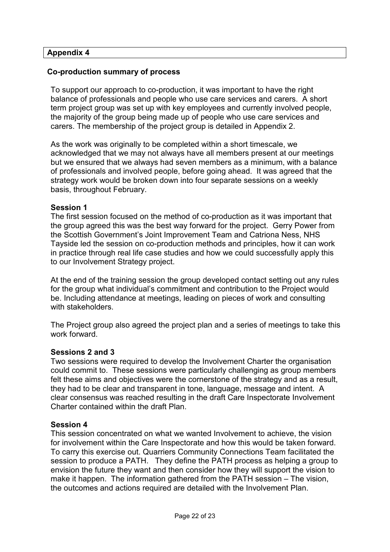### **Co-production summary of process**

To support our approach to co-production, it was important to have the right balance of professionals and people who use care services and carers. A short term project group was set up with key employees and currently involved people, the majority of the group being made up of people who use care services and carers. The membership of the project group is detailed in Appendix 2.

As the work was originally to be completed within a short timescale, we acknowledged that we may not always have all members present at our meetings but we ensured that we always had seven members as a minimum, with a balance of professionals and involved people, before going ahead. It was agreed that the strategy work would be broken down into four separate sessions on a weekly basis, throughout February.

### **Session 1**

The first session focused on the method of co-production as it was important that the group agreed this was the best way forward for the project. Gerry Power from the Scottish Government's Joint Improvement Team and Catriona Ness, NHS Tayside led the session on co-production methods and principles, how it can work in practice through real life case studies and how we could successfully apply this to our Involvement Strategy project.

At the end of the training session the group developed contact setting out any rules for the group what individual's commitment and contribution to the Project would be. Including attendance at meetings, leading on pieces of work and consulting with stakeholders.

The Project group also agreed the project plan and a series of meetings to take this work forward.

### **Sessions 2 and 3**

Two sessions were required to develop the Involvement Charter the organisation could commit to. These sessions were particularly challenging as group members felt these aims and objectives were the cornerstone of the strategy and as a result, they had to be clear and transparent in tone, language, message and intent. A clear consensus was reached resulting in the draft Care Inspectorate Involvement Charter contained within the draft Plan.

### **Session 4**

This session concentrated on what we wanted Involvement to achieve, the vision for involvement within the Care Inspectorate and how this would be taken forward. To carry this exercise out. Quarriers Community Connections Team facilitated the session to produce a PATH. They define the PATH process as helping a group to envision the future they want and then consider how they will support the vision to make it happen. The information gathered from the PATH session – The vision, the outcomes and actions required are detailed with the Involvement Plan.